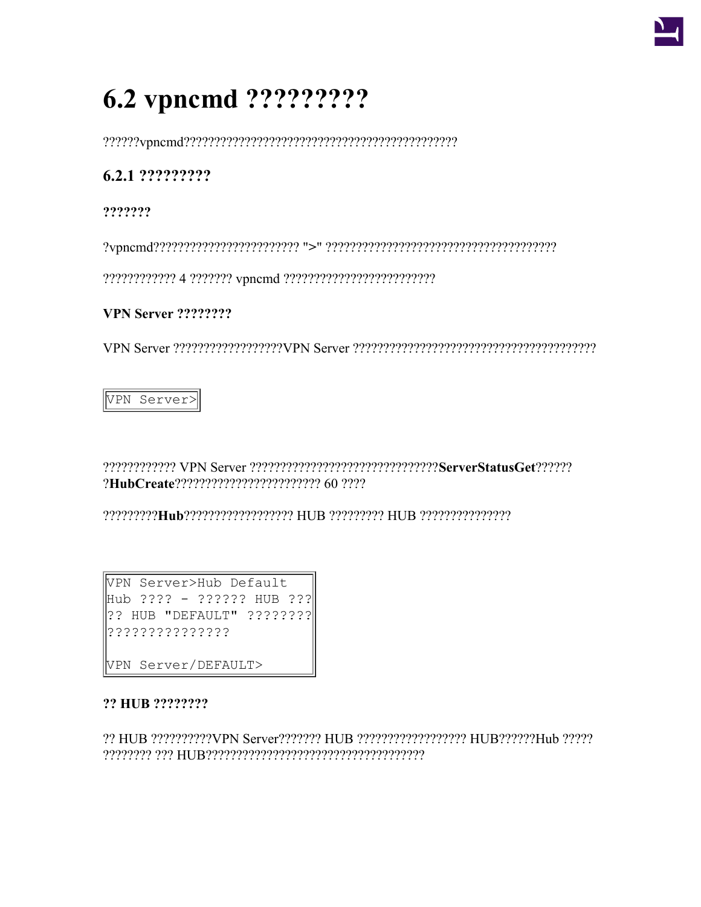

# 6.2 vpncmd ?????????

## 6.2.1 ??????????

???????

## **VPN Server ????????**

VPN Server>

???????????? VPN Server ???????????????????????????????ServerStatusGet?????? ?HubCreate???????????????????????? 60 ????

VPN Server>Hub Default Hub ???? - ?????? HUB ???  $|?$ ? HUB "DEFAULT"  $? ? ? ? ? ? ?$ ???????????????

VPN Server/DEFAULT>

## ?? HUB ????????

?? HUB ??????????VPN Server??????? HUB ?????????????????? HUB??????Hub ?????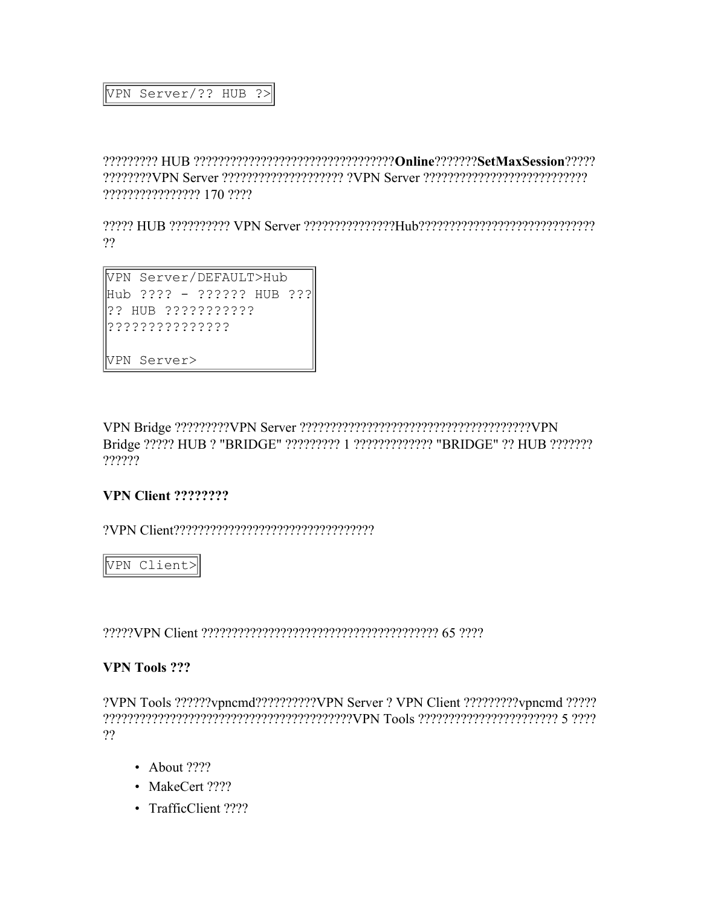#### VPN Server/?? HUB ?>

????????? HUB ?????????????????????????????????**Online**???????**SetMaxSession**????? ????????VPN Server ???????????????????? ?VPN Server ??????????????????????????? ???????????????? 170 ????

????? HUB ?????????? VPN Server ???????????????Hub?????????????????????????????  $22$ 

VPN Server/DEFAULT>Hub Hub ???? - ?????? HUB ??? ?? HUB ??????????? ??????????????? VPN Server>

VPN Bridge ?????????VPN Server ??????????????????????????????????????VPN Bridge ????? HUB ? "BRIDGE" ????????? 1 ????????????? "BRIDGE" ?? HUB ??????? ??????

#### **VPN Client ????????**

?VPN Client?????????????????????????????????

VPN Client>

?????VPN Client ??????????????????????????????????????? 65 ????

#### **VPN Tools ???**

?VPN Tools ??????vpncmd??????????VPN Server ? VPN Client ?????????vpncmd ????? ?????????????????????????????????????????VPN Tools ??????????????????????? 5 ???? ??

- About ????
- MakeCert ????
- TrafficClient ????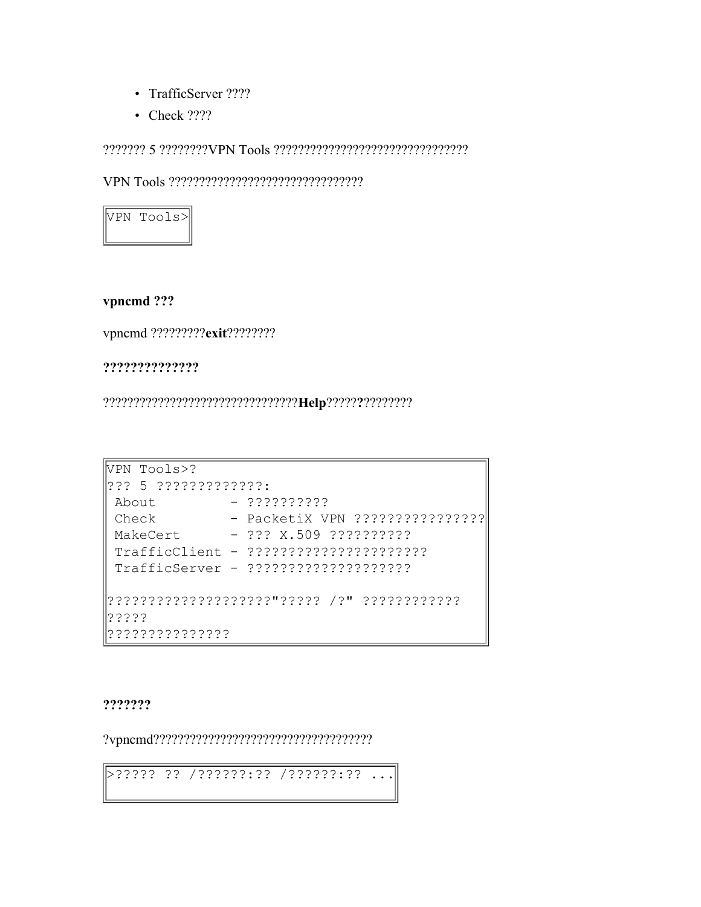- TrafficServer ????
- Check ????



#### vpncmd???

vpncmd ?????????exit?????????

#### ??????????????

| VPN Tools>?         |                                 |
|---------------------|---------------------------------|
| 2?? 5 ????????????? |                                 |
| About               | $-322222222$                    |
| Check               | - PacketiX VPN ???????????????? |
| MakeCert            | $-222 X.509 222222222$          |
|                     |                                 |
|                     |                                 |
|                     |                                 |
| ううううう               |                                 |
|                     |                                 |

???????

>????? ?? /??????:?? /??????:?? ...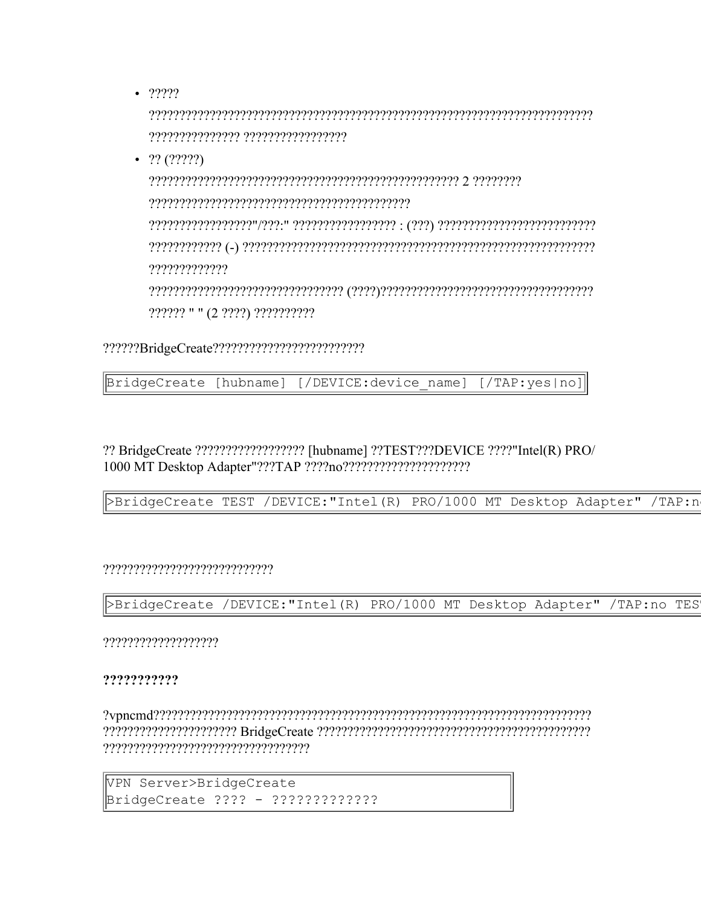$• 77777$ 

•  $??(?????)$ 

????????????? ?????? " " (2 ????) ??????????

BridgeCreate [hubname] [/DEVICE:device name] [/TAP:yes|no]

?? BridgeCreate ???????????????????? [hubname] ??TEST???DEVICE ????"Intel(R) PRO/ 

>BridgeCreate TEST /DEVICE: "Intel (R) PRO/1000 MT Desktop Adapter" /TAP:n

?????????????????????????????

>BridgeCreate /DEVICE: "Intel (R) PRO/1000 MT Desktop Adapter" /TAP:no TES

????????????????????

#### ???????????

```
VPN Server>BridgeCreate
BridgeCreate ???? - ??????????????
```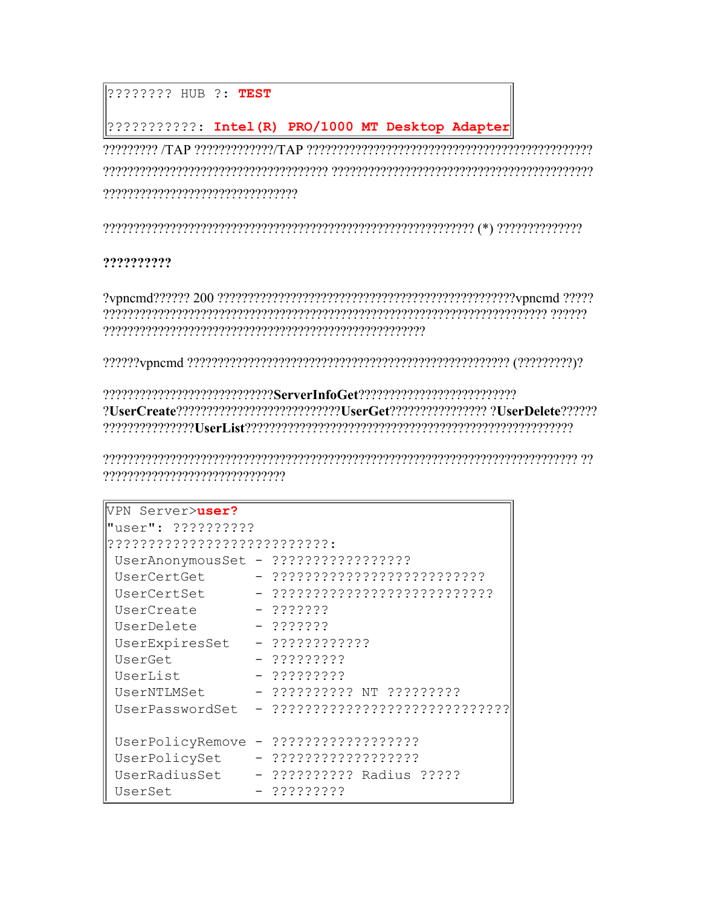???????? HUB ?: TEST

7???????????: Intel(R) PRO/1000 MT Desktop Adapter?

#### ??????????

?UserCreate?????????????????????????????UserGet?????????????????????? ?UserDelete?????? reserved the construction of the consequence of the consequence of the distance of the consequence of the cons

| VPN Server>user?            |                                |
|-----------------------------|--------------------------------|
| "user": ??????????          |                                |
| 2?????????????????????????? |                                |
|                             |                                |
| UserCertGet                 | - ??????????????????????????   |
| UserCertSet                 | - ???????????????????????????? |
| UserCreate                  | $-2222222$                     |
| UserDelete                  | $-222222$                      |
| UserExpiresSet              | $-333333333333$                |
| UserGet                     | - ?????????                    |
| UserList                    | - ?????????                    |
| UserNTLMSet                 | - ?????????? NT ?????????      |
| UserPasswordSet             |                                |
|                             |                                |
| UserPolicyRemove            | - ??????????????????           |
| UserPolicySet               | - ??????????????????           |
| UserRadiusSet               | - ?????????? Radius ?????      |
| UserSet                     | - ?????????                    |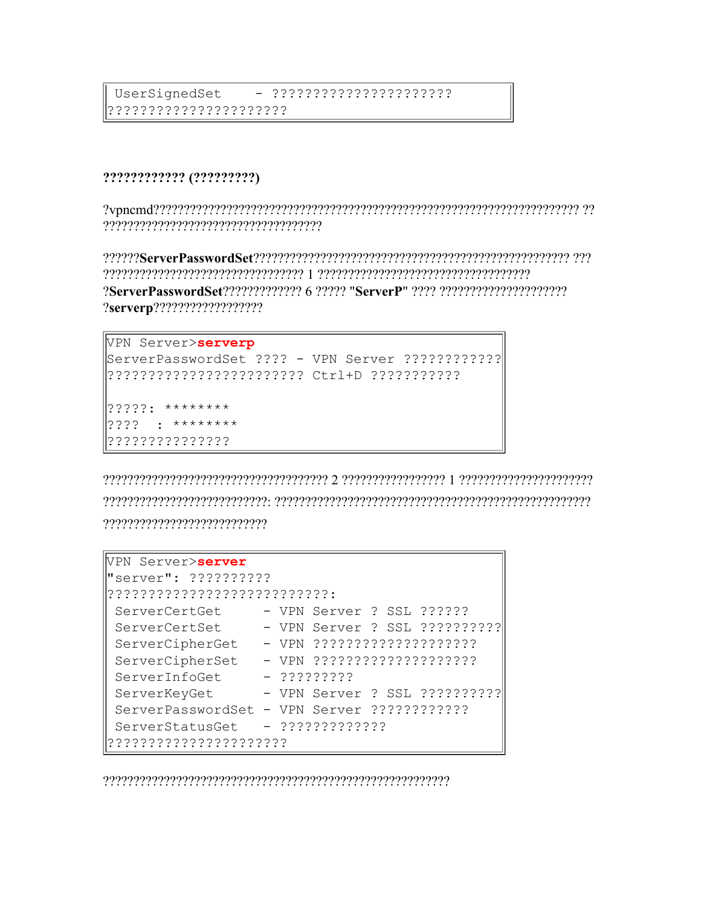#### ???????????? (?????????)

2ServerPasswordSet22222222222 6 22222 "ServerP" 2222 22222222222222222222222 ?serverp???????????????????

```
VPN Server>serverp
ServerPasswordSet ???? - VPN Server ????????????
2222:******2222 : ********????????????????
```

```
VPN Server>server
"server": ??????????
???????????????????????????
ServerCertGet - VPN Server ? SSL ??????
ServerCertSet
           - VPN Server ? SSL ??????????
ServerCipherSet
            -22222222ServerInfoGet
ServerKeyGet - VPN Server ? SSL ???????????
ServerPasswordSet - VPN Server ????????????
```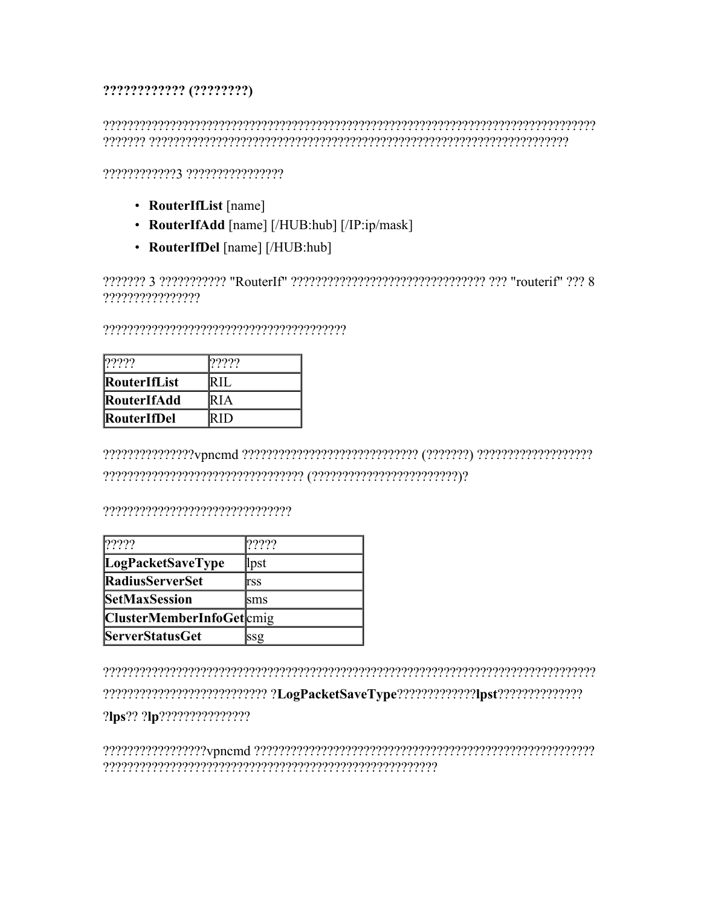#### ????????????? (????????)

## 

???????????? ????????????????

- RouterIfList [name]
- RouterIfAdd [name] [/HUB:hub] [/IP:ip/mask]
- RouterIfDel [name] [/HUB:hub]

2222222 3 22222222222 "RouterIf" 2222222222222222222222222222222222 "routerif" 222 8 ????????????????

| 2222                | 2222   |
|---------------------|--------|
| <b>RouterIfList</b> | IR IT  |
| RouterIfAdd         | IR I A |
| RouterIfDel         | (RH)   |

#### 

| 2222                     | ????? |
|--------------------------|-------|
| LogPacketSaveType        | lpst  |
| <b>RadiusServerSet</b>   | lrss  |
| <b>SetMaxSession</b>     | lsms  |
| ClusterMemberInfoGetcmig |       |
| <b>ServerStatusGet</b>   | ssg   |

?lps?? ?lp????????????????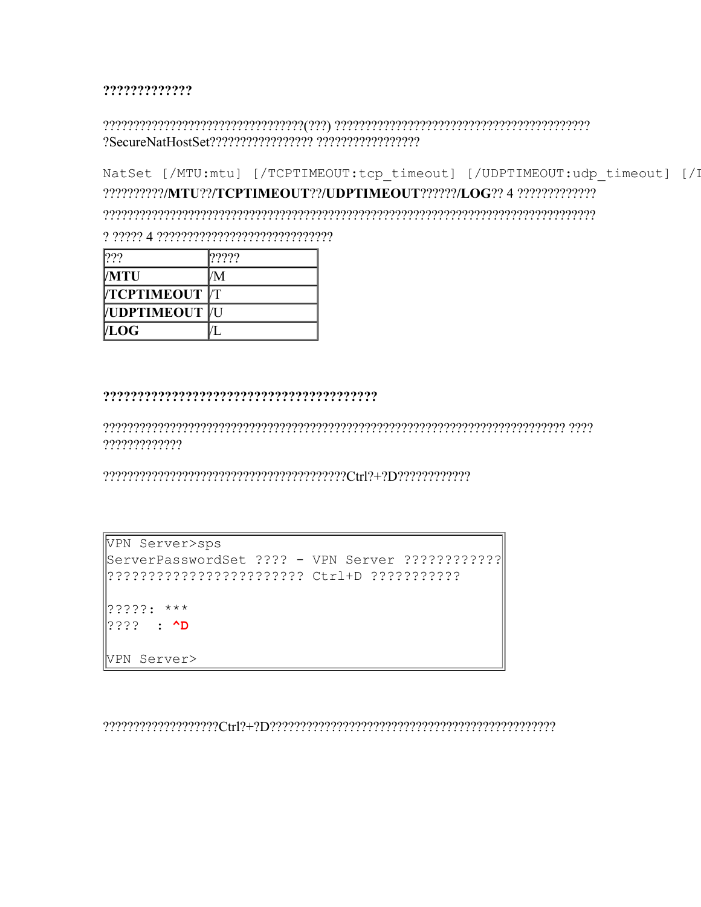?????????????

#### 

NatSet [/MTU:mtu] [/TCPTIMEOUT:tcp timeout] [/UDPTIMEOUT:udp timeout] [/I  ${\color{red}6} {\color{blue}6} {\color{blue}7} {\color{blue}7} {\color{blue}8} {\color{blue}7} {\color{blue}9} {\color{blue}7} {\color{blue}8} {\color{blue}7} {\color{blue}8} {\color{blue}7} {\color{blue}8} {\color{blue}7} {\color{blue}8} {\color{blue}7} {\color{blue}8} {\color{blue}7} {\color{blue}8} {\color{blue}7} {\color{blue}8} {\color{blue}7} {\color{blue}8} {\color{blue}7} {\color{blue}8} {\color{blue}7} {\color{blue}8} {\color{blue}7} {\color{blue}8} {\color{blue}7} {\color{blue}8} {\color{$ 

| 222                | 2222 |
|--------------------|------|
| <b>MTU</b>         | M    |
| <b>TCPTIMEOUT</b>  |      |
| <b>VUDPTIMEOUT</b> |      |
| <b>LOG</b>         |      |

#### 

?????????????

```
VPN Server>sps
ServerPasswordSet ???? - VPN Server ????????????
?????:***2222 : 2DVPN Server>
```
 ${\color{red}Ctr} \{T(1/2+1)T(1/2+2T(1/2))T(1/2+2T(1/2))T(1/2+2T(1/2))T(1/2+2T(1/2))T(1/2+2T(1/2))T(1/2+2T(1/2))T(1/2)\}$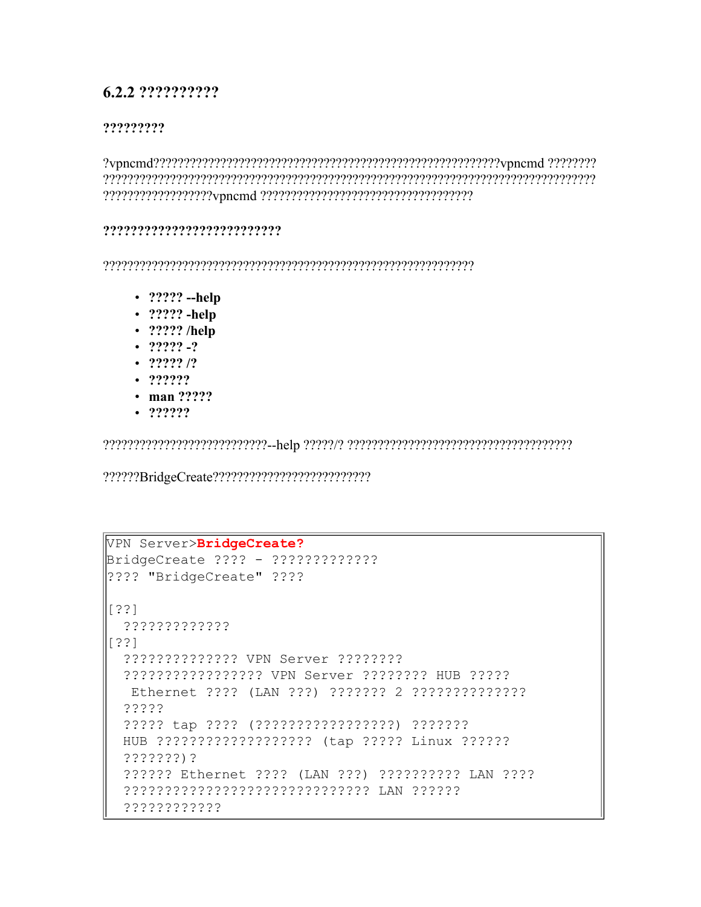## 6.2.2 ??????????

#### ?????????

#### ???????????????????????????

- $?????$  -help
- $\cdot$  ????? -help
- $\cdot$  ????? /help
- $\cdot$  ????? -?
- $\cdot$  ????? /?
- $. 222222$
- $\cdot$  man ?????
- $. 222222$

```
VPN Server>BridgeCreate?
|??\? "BridgeCreate" ??\?
[ ? ? ]?????????????
[ ? ? ]?????????????? VPN Server ????????
 ????????????????????? VPN Server ???????? HUB ??????
  ?????
 ????? tap ???? (?????????????????) ???????
 HUB ???????????????????? (tap ????? Linux ??????
 222222)?
 ?????? Ethernet ???? (LAN ???) ?????????? LAN ????
 ???????????????????????????????? LAN ???????
 ????????????
```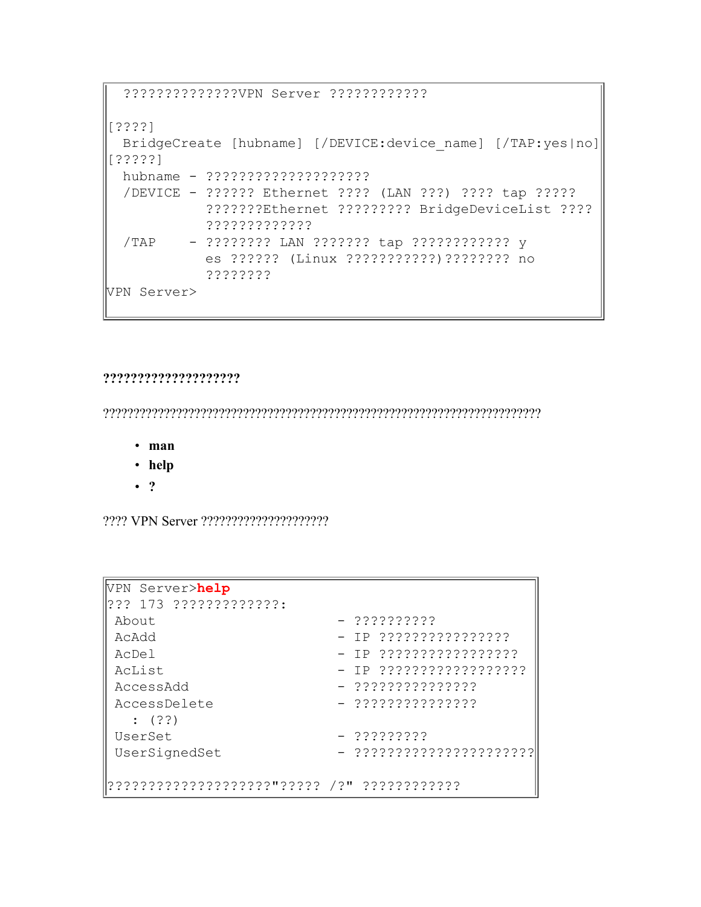```
??????????????VPN Server ????????????
[????]
 BridgeCreate [hubname] [/DEVICE:device name] [/TAP:yes|no]
[?????]
 hubname - ????????????????????
 /DEVICE - ?????? Ethernet ???? (LAN ???) ???? tap ?????
           ???????Ethernet ????????? BridgeDeviceList ????
           ?????????????
 /TAP - ???????? LAN ??????? tap ???????????? y
           es ?????? (Linux ???????????)???????? no
           ????????
VPN Server>
```
#### **????????????????????**

????????????????????????????????????????????????????????????????????????

- **man**
- **help**
- **?**

???? VPN Server ?????????????????????

| VPN Server>help       |                         |
|-----------------------|-------------------------|
| 2?? 173 ????????????? |                         |
| About                 | $-$ ??????????          |
| AcAdd                 | - IP ????????????????   |
| AcDel                 | - IP ?????????????????  |
| AcList                | - IP ?????????????????? |
| AccessAdd             |                         |
| AccessDelete          | - ???????????????       |
| $\colon$ (??)         |                         |
| UserSet               | $-22222222$             |
| UserSignedSet         |                         |
|                       |                         |
|                       |                         |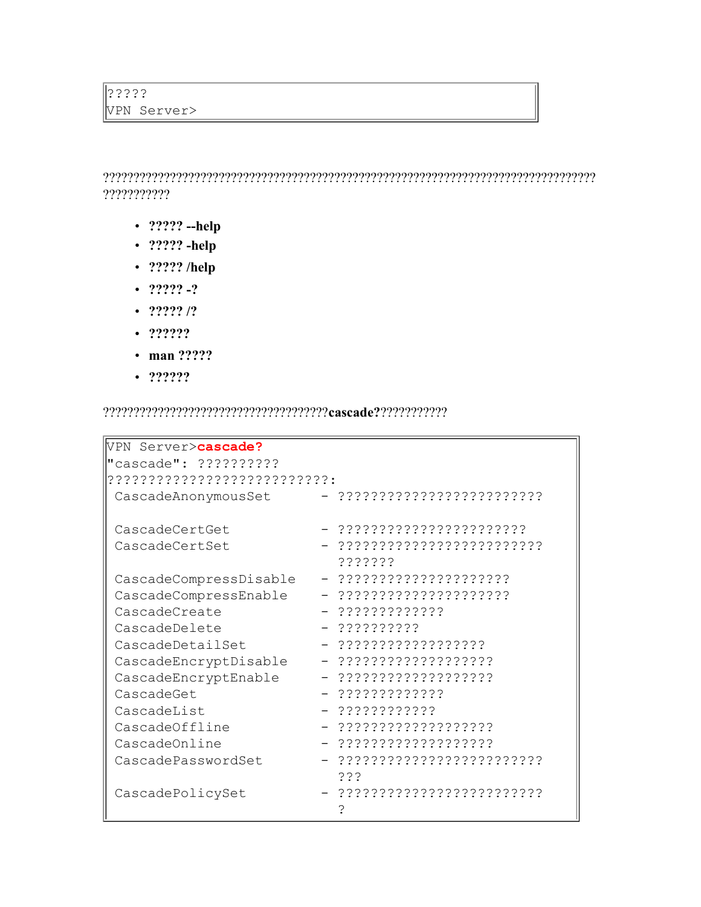????????????????????????????????????????????????????????????????????????????????? ???????????

- **????? --help**
- **????? -help**
- **????? /help**
- **????? -?**
- **????? /?**
- **??????**
- **man ?????**
- **??????**

?????????????????????????????????????**cascade?**???????????

| VPN Server>cascade?         |                              |
|-----------------------------|------------------------------|
| "cascade": ??????????       |                              |
| ??????????????????????????? |                              |
| CascadeAnonymousSet         | - ?????????????????????????? |
|                             |                              |
| CascadeCertGet              | - ???????????????????????    |
| CascadeCertSet              |                              |
|                             | ???????                      |
| CascadeCompressDisable      | - ?????????????????????      |
| CascadeCompressEnable       | - ?????????????????????      |
| CascadeCreate               | $-$ ?????????????            |
| CascadeDelete               | - ??????????                 |
| CascadeDetailSet            |                              |
| CascadeEncryptDisable       | - ???????????????????        |
| CascadeEncryptEnable        | - ???????????????????        |
| CascadeGet                  | - ?????????????              |
| CascadeList                 | - ????????????               |
| CascadeOffline              | $-$ ????????????????????     |
| CascadeOnline               | - ????????????????????       |
| CascadePasswordSet          |                              |
|                             | د ذ ذ                        |
| CascadePolicySet            |                              |
|                             |                              |
|                             |                              |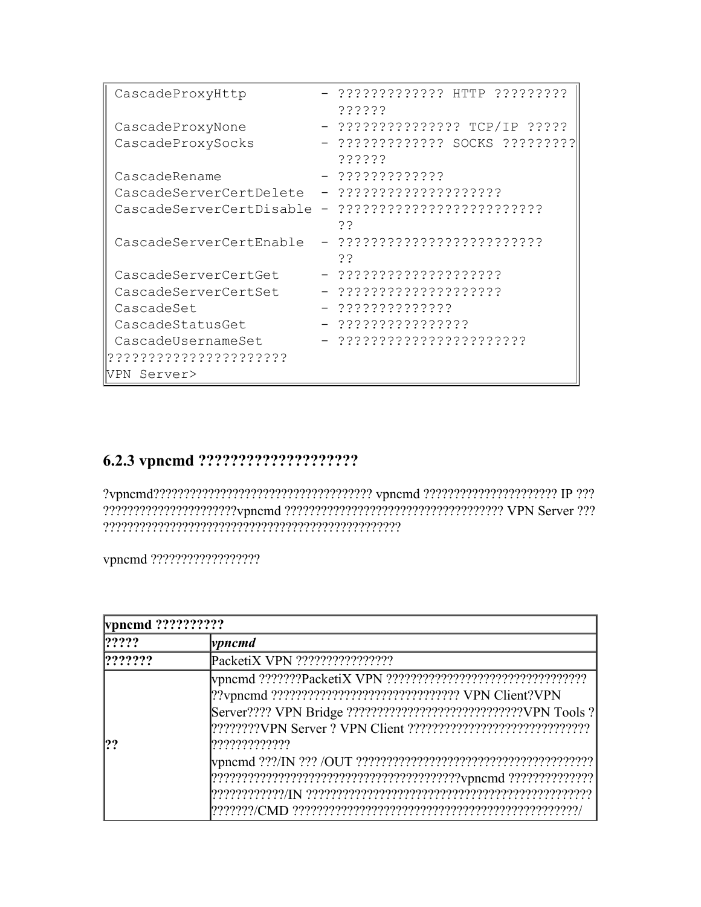```
CascadeProxyHttp - ?????????????? HTTP ??????????
                        ??????
CascadeProxyNone - ??????????????? TCP/IP ?????
CascadeProxySocks - ?????????????? SOCKS ??????????
                        ??????
CascadeRename - ?????????????
CascadeServerCertDelete - ????????????????????
CascadeServerCertDisable - ?????????????????????????
                         ??
CascadeServerCertEnable - ?????????????????????????
                        ??
CascadeServerCertGet - ????????????????????
CascadeServerCertSet - ????????????????????
CascadeSet - ??????????????
CascadeStatusGet - ????????????????
CascadeUsernameSet - ???????????????????????
??????????????????????
VPN Server>
```
## **6.2.3 vpncmd ????????????????????**

?vpncmd???????????????????????????????????? vpncmd ?????????????????????? IP ??? ??????????????????????vpncmd ???????????????????????????????????? VPN Server ??? ?????????????????????????????????????????????????

vpncmd ??????????????????

| vpncmd ?????????? |                                                                                                                                                    |
|-------------------|----------------------------------------------------------------------------------------------------------------------------------------------------|
| ? ? ? ?           | $ v$ <i>pncmd</i>                                                                                                                                  |
| ? ? ? ? ? ?       |                                                                                                                                                    |
| ??                | ??vpncmd ?????????????????????????????????? VPN Client?VPN<br>Server???? VPN Bridge ??????????????????????????????????VPN Tools ?<br>????????????? |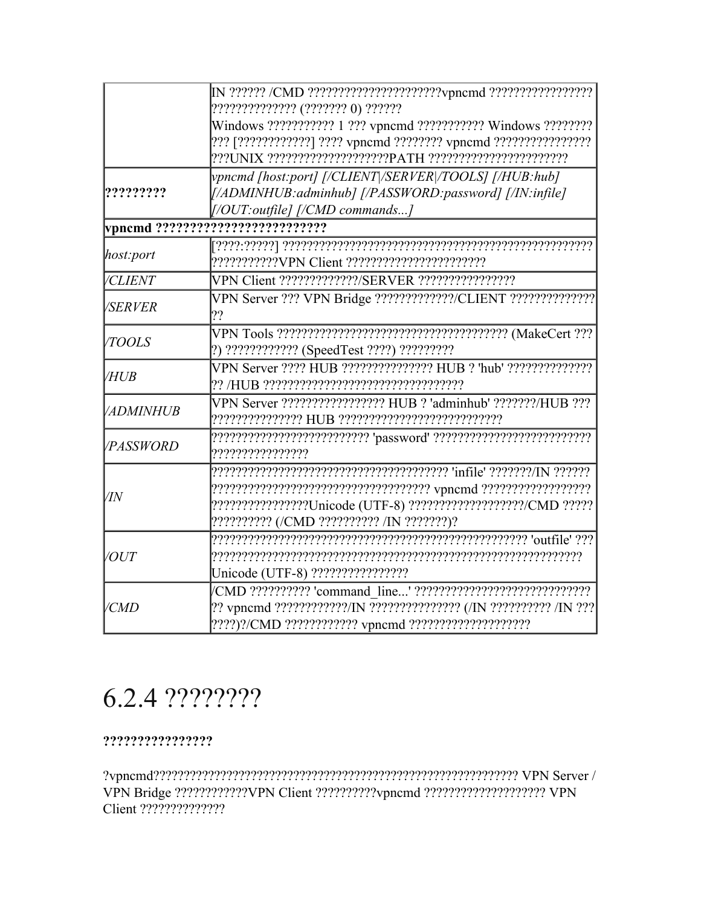|                  | ?????????????? (??????? 0) ??????<br>Windows ??????????? 1 ??? vpncmd ?????????? Windows ????????                                                             |
|------------------|---------------------------------------------------------------------------------------------------------------------------------------------------------------|
| ?????????        | vpncmd [host:port] [/CLIENT /SERVER /TOOLS] [/HUB:hub]<br>[/ADMINHUB: adminhub] [/PASSWORD: password] [/IN: infile]<br>$[77]$ [/OUT:outfile] $[77]$ commands] |
|                  |                                                                                                                                                               |
| host:port        |                                                                                                                                                               |
| <b>/CLIENT</b>   | VPN Client ?????????????/SERVER ?????????????????                                                                                                             |
| <b>/SERVER</b>   | VPN Server ??? VPN Bridge ?????????????/CLIENT ???????????????<br>??                                                                                          |
| <b>TOOLS</b>     | [?) ????????????? (SpeedTest ????) ?????????                                                                                                                  |
| <b>VHUB</b>      |                                                                                                                                                               |
| <b>ADMINHUB</b>  | VPN Server ?????????????????? HUB ? 'adminhub' ???????/HUB ???                                                                                                |
| <i>VPASSWORD</i> | $[???????????????????? \textbf{'password'} ?????????????????????????$<br>,,,,,,,,,,,,,,,,,                                                                    |
| /IN              | ?????????????????Unicode (UTF-8) ??????????????????/CMD ?????<br>?????????? (/CMD ?????????? /IN ???????)?                                                    |
| <i>VOUT</i>      | Unicode (UTF-8) ?????????????????                                                                                                                             |
| /CMD             | ?? vpncmd ????????????/IN ???????????????? (/IN ?????????? /IN ???                                                                                            |

## 6.2.4 ????????

#### ????????????????

VPN Bridge ???????????VPN Client ??????????ypncmd ????????????????????? VPN Client ??????????????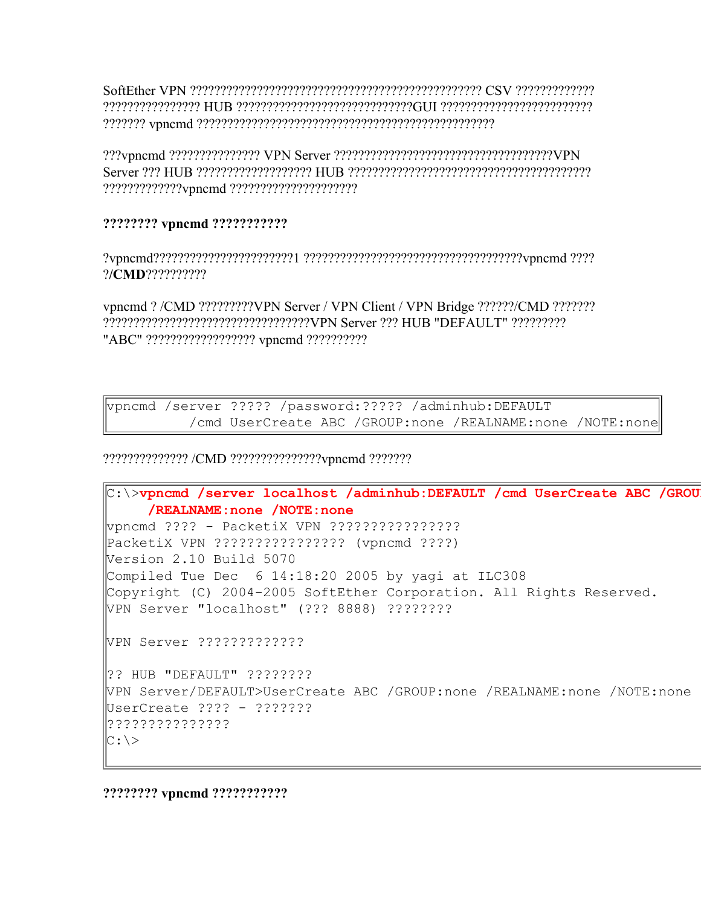SoftEther VPN ???????????????????????????????????????????????? CSV ????????????? ???????????????? HUB ?????????????????????????????GUI ????????????????????????? ??????? vpncmd ?????????????????????????????????????????????????

???vpncmd ??????????????? VPN Server ????????????????????????????????????VPN Server ??? HUB ??????????????????? HUB ???????????????????????????????????????? ?????????????vpncmd ?????????????????????

#### **???????? vpncmd ???????????**

?vpncmd???????????????????????1 ????????????????????????????????????vpncmd ???? ?**/CMD**??????????

vpncmd ? /CMD ?????????VPN Server / VPN Client / VPN Bridge ??????/CMD ??????? ??????????????????????????????????VPN Server ??? HUB "DEFAULT" ????????? "ABC" ???????????????????? vpncmd ???????????

vpncmd /server ????? /password:????? /adminhub:DEFAULT /cmd UserCreate ABC /GROUP:none /REALNAME:none /NOTE:none

?????????????? /CMD ???????????????vpncmd ???????

```
C:\>vpncmd /server localhost /adminhub:DEFAULT /cmd UserCreate ABC /GROUP:none
     /REALNAME:none /NOTE:none
vpncmd ???? - PacketiX VPN ????????????????
PacketiX VPN ???????????????? (vpncmd ????)
Version 2.10 Build 5070
Compiled Tue Dec 6 14:18:20 2005 by yagi at ILC308
Copyright (C) 2004-2005 SoftEther Corporation. All Rights Reserved.
VPN Server "localhost" (??? 8888) ????????
VPN Server ?????????????
?? HUB "DEFAULT" ????????
VPN Server/DEFAULT>UserCreate ABC /GROUP:none /REALNAME:none /NOTE:none
UserCreate ???? - ???????
???????????????
C: \>
```
**???????? vpncmd ???????????**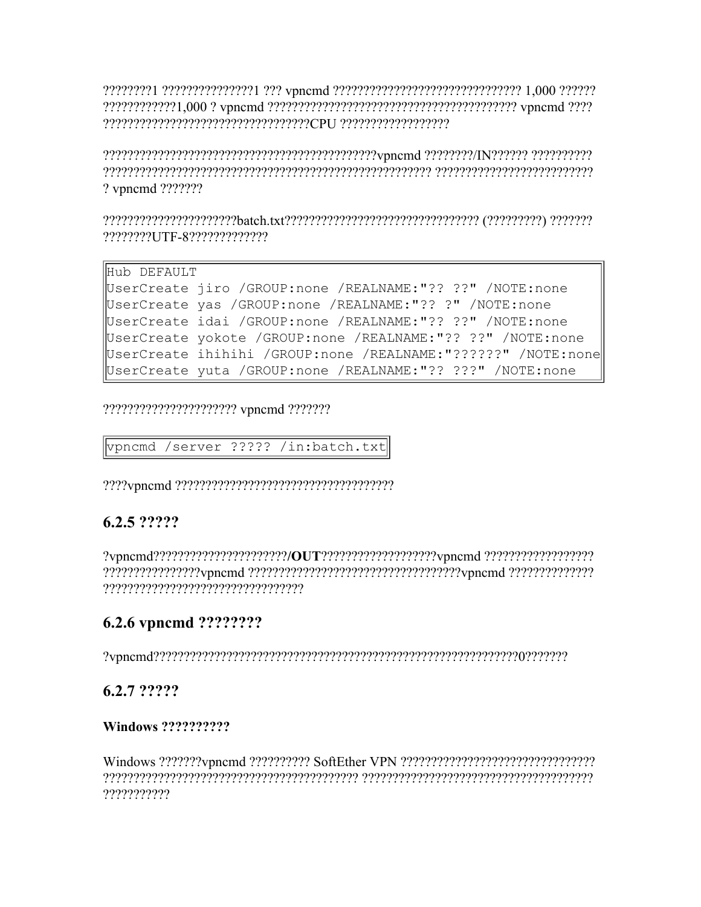????????1 ???????????????1 ??? vpncmd ????????????????????????????????? 1,000 ?????? 

? vpncmd ???????

Hub DEFAULT UserCreate jiro / GROUP: none / REALNAME:"?? ??" / NOTE: none UserCreate yas / GROUP: none / REALNAME: "?? ?" / NOTE: none UserCreate idai / GROUP: none / REALNAME:"?? ??" / NOTE: none UserCreate yokote / GROUP: none / REALNAME:"?? ??" / NOTE: none UserCreate ihihihi /GROUP:none /REALNAME:"??????" /NOTE:none UserCreate yuta / GROUP: none / REALNAME: "?? ???" / NOTE: none

??????????????????????? vpncmd ???????

vpncmd /server ????? /in:batch.txt

## 6.2.5 ?????

## 6.2.6 vpncmd ????????

## 6.2.7 ?????

#### Windows ??????????

???????????